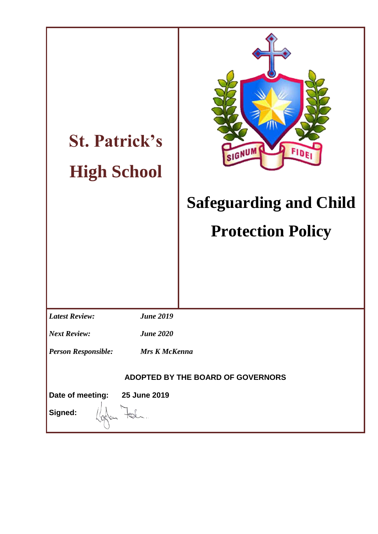| <b>St. Patrick's</b><br><b>High School</b>         | SIGNUM<br>FIDE<br><b>Safeguarding and Child</b><br><b>Protection Policy</b> |  |
|----------------------------------------------------|-----------------------------------------------------------------------------|--|
| <b>Latest Review:</b><br><b>June 2019</b>          |                                                                             |  |
| <b>June 2020</b><br><b>Next Review:</b>            |                                                                             |  |
| <b>Person Responsible:</b><br><b>Mrs K McKenna</b> |                                                                             |  |
| ADOPTED BY THE BOARD OF GOVERNORS                  |                                                                             |  |
| Date of meeting: 25 June 2019<br>Signed:           |                                                                             |  |
|                                                    |                                                                             |  |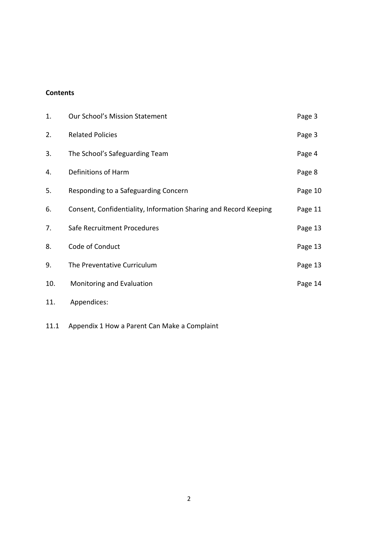## **Contents**

| 1.  | <b>Our School's Mission Statement</b>                            | Page 3  |
|-----|------------------------------------------------------------------|---------|
| 2.  | <b>Related Policies</b>                                          | Page 3  |
| 3.  | The School's Safeguarding Team                                   | Page 4  |
| 4.  | Definitions of Harm                                              | Page 8  |
| 5.  | Responding to a Safeguarding Concern                             | Page 10 |
| 6.  | Consent, Confidentiality, Information Sharing and Record Keeping | Page 11 |
| 7.  | Safe Recruitment Procedures                                      | Page 13 |
| 8.  | Code of Conduct                                                  | Page 13 |
| 9.  | The Preventative Curriculum                                      | Page 13 |
| 10. | Monitoring and Evaluation                                        | Page 14 |
| 11. | Appendices:                                                      |         |

11.1 Appendix 1 How a Parent Can Make a Complaint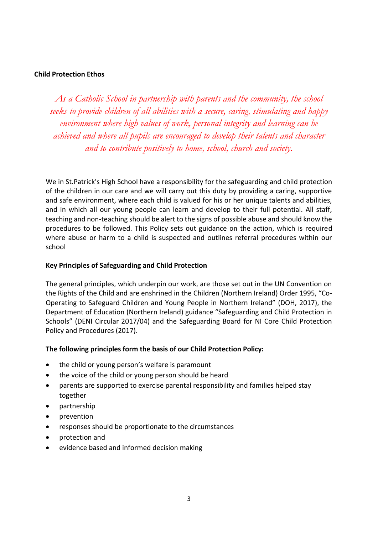#### **Child Protection Ethos**

*As a Catholic School in partnership with parents and the community, the school seeks to provide children of all abilities with a secure, caring, stimulating and happy environment where high values of work, personal integrity and learning can be achieved and where all pupils are encouraged to develop their talents and character and to contribute positively to home, school, church and society.*

We in St.Patrick's High School have a responsibility for the safeguarding and child protection of the children in our care and we will carry out this duty by providing a caring, supportive and safe environment, where each child is valued for his or her unique talents and abilities, and in which all our young people can learn and develop to their full potential. All staff, teaching and non-teaching should be alert to the signs of possible abuse and should know the procedures to be followed. This Policy sets out guidance on the action, which is required where abuse or harm to a child is suspected and outlines referral procedures within our school

#### **Key Principles of Safeguarding and Child Protection**

The general principles, which underpin our work, are those set out in the UN Convention on the Rights of the Child and are enshrined in the Children (Northern Ireland) Order 1995, "Co-Operating to Safeguard Children and Young People in Northern Ireland" (DOH, 2017), the Department of Education (Northern Ireland) guidance "Safeguarding and Child Protection in Schools" (DENI Circular 2017/04) and the Safeguarding Board for NI Core Child Protection Policy and Procedures (2017).

## **The following principles form the basis of our Child Protection Policy:**

- the child or young person's welfare is paramount
- the voice of the child or young person should be heard
- parents are supported to exercise parental responsibility and families helped stay together
- partnership
- prevention
- responses should be proportionate to the circumstances
- protection and
- evidence based and informed decision making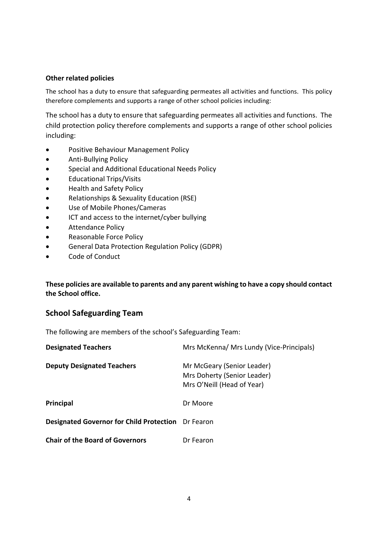#### **Other related policies**

The school has a duty to ensure that safeguarding permeates all activities and functions. This policy therefore complements and supports a range of other school policies including:

The school has a duty to ensure that safeguarding permeates all activities and functions. The child protection policy therefore complements and supports a range of other school policies including:

- Positive Behaviour Management Policy
- Anti-Bullying Policy
- **•** Special and Additional Educational Needs Policy
- Educational Trips/Visits
- Health and Safety Policy
- Relationships & Sexuality Education (RSE)
- Use of Mobile Phones/Cameras
- ICT and access to the internet/cyber bullying
- Attendance Policy
- Reasonable Force Policy
- General Data Protection Regulation Policy (GDPR)
- Code of Conduct

## **These policies are available to parents and any parent wishing to have a copy should contact the School office.**

## **School Safeguarding Team**

The following are members of the school's Safeguarding Team:

| <b>Designated Teachers</b>                                | Mrs McKenna/ Mrs Lundy (Vice-Principals)                                                |
|-----------------------------------------------------------|-----------------------------------------------------------------------------------------|
| <b>Deputy Designated Teachers</b>                         | Mr McGeary (Senior Leader)<br>Mrs Doherty (Senior Leader)<br>Mrs O'Neill (Head of Year) |
| Principal                                                 | Dr Moore                                                                                |
| <b>Designated Governor for Child Protection</b> Dr Fearon |                                                                                         |
| <b>Chair of the Board of Governors</b>                    | Dr Fearon                                                                               |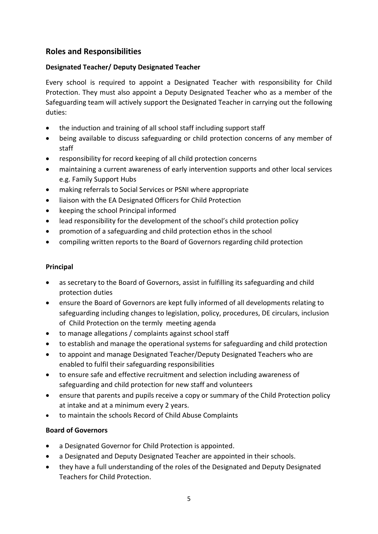# **Roles and Responsibilities**

## **Designated Teacher/ Deputy Designated Teacher**

Every school is required to appoint a Designated Teacher with responsibility for Child Protection. They must also appoint a Deputy Designated Teacher who as a member of the Safeguarding team will actively support the Designated Teacher in carrying out the following duties:

- the induction and training of all school staff including support staff
- being available to discuss safeguarding or child protection concerns of any member of staff
- responsibility for record keeping of all child protection concerns
- maintaining a current awareness of early intervention supports and other local services e.g. Family Support Hubs
- making referrals to Social Services or PSNI where appropriate
- liaison with the EA Designated Officers for Child Protection
- keeping the school Principal informed
- lead responsibility for the development of the school's child protection policy
- promotion of a safeguarding and child protection ethos in the school
- compiling written reports to the Board of Governors regarding child protection

## **Principal**

- as secretary to the Board of Governors, assist in fulfilling its safeguarding and child protection duties
- ensure the Board of Governors are kept fully informed of all developments relating to safeguarding including changes to legislation, policy, procedures, DE circulars, inclusion of Child Protection on the termly meeting agenda
- to manage allegations / complaints against school staff
- to establish and manage the operational systems for safeguarding and child protection
- to appoint and manage Designated Teacher/Deputy Designated Teachers who are enabled to fulfil their safeguarding responsibilities
- to ensure safe and effective recruitment and selection including awareness of safeguarding and child protection for new staff and volunteers
- ensure that parents and pupils receive a copy or summary of the Child Protection policy at intake and at a minimum every 2 years.
- to maintain the schools Record of Child Abuse Complaints

## **Board of Governors**

- a Designated Governor for Child Protection is appointed.
- a Designated and Deputy Designated Teacher are appointed in their schools.
- they have a full understanding of the roles of the Designated and Deputy Designated Teachers for Child Protection.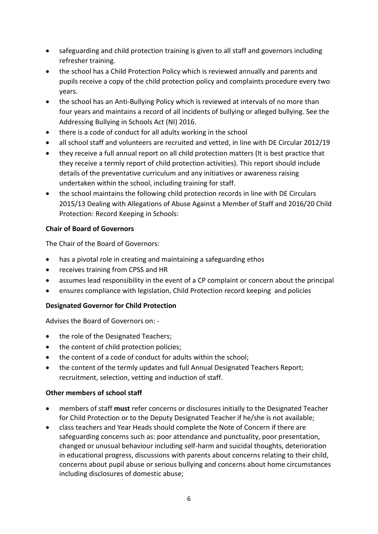- safeguarding and child protection training is given to all staff and governors including refresher training.
- the school has a Child Protection Policy which is reviewed annually and parents and pupils receive a copy of the child protection policy and complaints procedure every two years.
- the school has an Anti-Bullying Policy which is reviewed at intervals of no more than four years and maintains a record of all incidents of bullying or alleged bullying. See the Addressing Bullying in Schools Act (NI) 2016.
- there is a code of conduct for all adults working in the school
- all school staff and volunteers are recruited and vetted, in line with DE Circular 2012/19
- they receive a full annual report on all child protection matters (It is best practice that they receive a termly report of child protection activities). This report should include details of the preventative curriculum and any initiatives or awareness raising undertaken within the school, including training for staff.
- the school maintains the following child protection records in line with DE Circulars 2015/13 Dealing with Allegations of Abuse Against a Member of Staff and 2016/20 Child Protection: Record Keeping in Schools:

## **Chair of Board of Governors**

The Chair of the Board of Governors:

- has a pivotal role in creating and maintaining a safeguarding ethos
- receives training from CPSS and HR
- assumes lead responsibility in the event of a CP complaint or concern about the principal
- ensures compliance with legislation, Child Protection record keeping and policies

## **Designated Governor for Child Protection**

Advises the Board of Governors on: -

- the role of the Designated Teachers;
- the content of child protection policies;
- the content of a code of conduct for adults within the school;
- the content of the termly updates and full Annual Designated Teachers Report; recruitment, selection, vetting and induction of staff.

## **Other members of school staff**

- members of staff **must** refer concerns or disclosures initially to the Designated Teacher for Child Protection or to the Deputy Designated Teacher if he/she is not available;
- class teachers and Year Heads should complete the Note of Concern if there are safeguarding concerns such as: poor attendance and punctuality, poor presentation, changed or unusual behaviour including self-harm and suicidal thoughts, deterioration in educational progress, discussions with parents about concerns relating to their child, concerns about pupil abuse or serious bullying and concerns about home circumstances including disclosures of domestic abuse;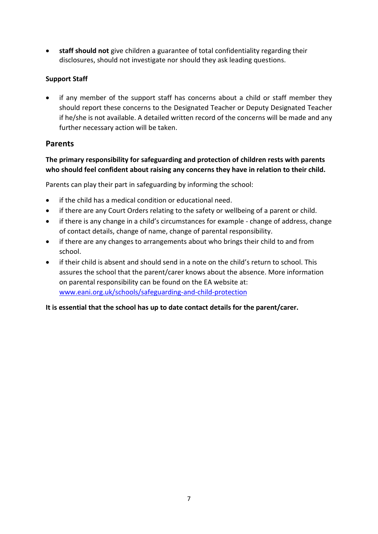**staff should not** give children a guarantee of total confidentiality regarding their disclosures, should not investigate nor should they ask leading questions.

# **Support Staff**

 if any member of the support staff has concerns about a child or staff member they should report these concerns to the Designated Teacher or Deputy Designated Teacher if he/she is not available. A detailed written record of the concerns will be made and any further necessary action will be taken.

# **Parents**

# **The primary responsibility for safeguarding and protection of children rests with parents who should feel confident about raising any concerns they have in relation to their child.**

Parents can play their part in safeguarding by informing the school:

- if the child has a medical condition or educational need.
- if there are any Court Orders relating to the safety or wellbeing of a parent or child.
- if there is any change in a child's circumstances for example change of address, change of contact details, change of name, change of parental responsibility.
- if there are any changes to arrangements about who brings their child to and from school.
- if their child is absent and should send in a note on the child's return to school. This assures the school that the parent/carer knows about the absence. More information on parental responsibility can be found on the EA website at: [www.eani.org.uk/schools/safeguarding-and-child-protection](http://www.eani.org.uk/schools/safeguarding-and-child-protection)

## **It is essential that the school has up to date contact details for the parent/carer.**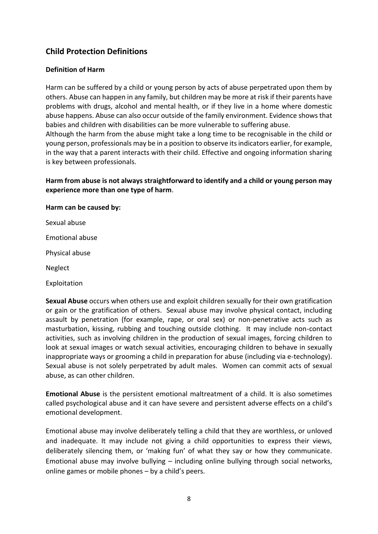# **Child Protection Definitions**

## **Definition of Harm**

Harm can be suffered by a child or young person by acts of abuse perpetrated upon them by others. Abuse can happen in any family, but children may be more at risk if their parents have problems with drugs, alcohol and mental health, or if they live in a home where domestic abuse happens. Abuse can also occur outside of the family environment. Evidence shows that babies and children with disabilities can be more vulnerable to suffering abuse. Although the harm from the abuse might take a long time to be recognisable in the child or young person, professionals may be in a position to observe its indicators earlier, for example, in the way that a parent interacts with their child. Effective and ongoing information sharing

**Harm from abuse is not always straightforward to identify and a child or young person may experience more than one type of harm**.

#### **Harm can be caused by:**

is key between professionals.

Sexual abuse

Emotional abuse

Physical abuse

Neglect

Exploitation

**Sexual Abuse** occurs when others use and exploit children sexually for their own gratification or gain or the gratification of others. Sexual abuse may involve physical contact, including assault by penetration (for example, rape, or oral sex) or non-penetrative acts such as masturbation, kissing, rubbing and touching outside clothing. It may include non-contact activities, such as involving children in the production of sexual images, forcing children to look at sexual images or watch sexual activities, encouraging children to behave in sexually inappropriate ways or grooming a child in preparation for abuse (including via e-technology). Sexual abuse is not solely perpetrated by adult males. Women can commit acts of sexual abuse, as can other children.

**Emotional Abuse** is the persistent emotional maltreatment of a child. It is also sometimes called psychological abuse and it can have severe and persistent adverse effects on a child's emotional development.

Emotional abuse may involve deliberately telling a child that they are worthless, or unloved and inadequate. It may include not giving a child opportunities to express their views, deliberately silencing them, or 'making fun' of what they say or how they communicate. Emotional abuse may involve bullying – including online bullying through social networks, online games or mobile phones – by a child's peers.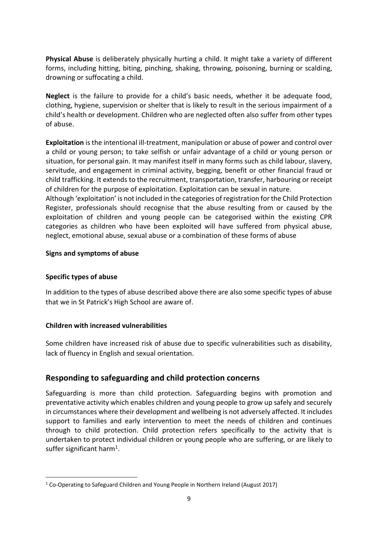**Physical Abuse** is deliberately physically hurting a child. It might take a variety of different forms, including hitting, biting, pinching, shaking, throwing, poisoning, burning or scalding, drowning or suffocating a child.

**Neglect** is the failure to provide for a child's basic needs, whether it be adequate food, clothing, hygiene, supervision or shelter that is likely to result in the serious impairment of a child's health or development. Children who are neglected often also suffer from other types of abuse.

**Exploitation** is the intentional ill-treatment, manipulation or abuse of power and control over a child or young person; to take selfish or unfair advantage of a child or young person or situation, for personal gain. It may manifest itself in many forms such as child labour, slavery, servitude, and engagement in criminal activity, begging, benefit or other financial fraud or child trafficking. It extends to the recruitment, transportation, transfer, harbouring or receipt of children for the purpose of exploitation. Exploitation can be sexual in nature.

Although 'exploitation' is not included in the categories of registration for the Child Protection Register, professionals should recognise that the abuse resulting from or caused by the exploitation of children and young people can be categorised within the existing CPR categories as children who have been exploited will have suffered from physical abuse, neglect, emotional abuse, sexual abuse or a combination of these forms of abuse

#### **Signs and symptoms of abuse**

#### **Specific types of abuse**

**.** 

In addition to the types of abuse described above there are also some specific types of abuse that we in St Patrick's High School are aware of.

## **Children with increased vulnerabilities**

Some children have increased risk of abuse due to specific vulnerabilities such as disability, lack of fluency in English and sexual orientation.

# **Responding to safeguarding and child protection concerns**

Safeguarding is more than child protection. Safeguarding begins with promotion and preventative activity which enables children and young people to grow up safely and securely in circumstances where their development and wellbeing is not adversely affected. It includes support to families and early intervention to meet the needs of children and continues through to child protection. Child protection refers specifically to the activity that is undertaken to protect individual children or young people who are suffering, or are likely to suffer significant harm<sup>1</sup>.

<sup>&</sup>lt;sup>1</sup> Co-Operating to Safeguard Children and Young People in Northern Ireland (August 2017)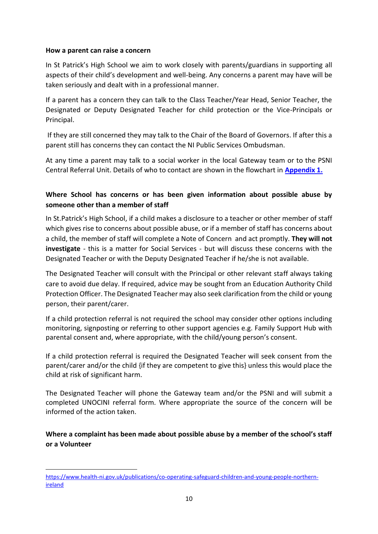#### **How a parent can raise a concern**

 $\overline{a}$ 

In St Patrick's High School we aim to work closely with parents/guardians in supporting all aspects of their child's development and well-being. Any concerns a parent may have will be taken seriously and dealt with in a professional manner.

If a parent has a concern they can talk to the Class Teacher/Year Head, Senior Teacher, the Designated or Deputy Designated Teacher for child protection or the Vice-Principals or Principal.

If they are still concerned they may talk to the Chair of the Board of Governors. If after this a parent still has concerns they can contact the NI Public Services Ombudsman.

At any time a parent may talk to a social worker in the local Gateway team or to the PSNI Central Referral Unit. Details of who to contact are shown in the flowchart in **Appendix 1.**

# **Where School has concerns or has been given information about possible abuse by someone other than a member of staff**

In St.Patrick's High School, if a child makes a disclosure to a teacher or other member of staff which gives rise to concerns about possible abuse, or if a member of staff has concerns about a child, the member of staff will complete a Note of Concern and act promptly. **They will not investigate** - this is a matter for Social Services - but will discuss these concerns with the Designated Teacher or with the Deputy Designated Teacher if he/she is not available.

The Designated Teacher will consult with the Principal or other relevant staff always taking care to avoid due delay. If required, advice may be sought from an Education Authority Child Protection Officer. The Designated Teacher may also seek clarification from the child or young person, their parent/carer.

If a child protection referral is not required the school may consider other options including monitoring, signposting or referring to other support agencies e.g. Family Support Hub with parental consent and, where appropriate, with the child/young person's consent.

If a child protection referral is required the Designated Teacher will seek consent from the parent/carer and/or the child {if they are competent to give this} unless this would place the child at risk of significant harm.

The Designated Teacher will phone the Gateway team and/or the PSNI and will submit a completed UNOCINI referral form. Where appropriate the source of the concern will be informed of the action taken.

**Where a complaint has been made about possible abuse by a member of the school's staff or a Volunteer**

[https://www.health-ni.gov.uk/publications/co-operating-safeguard-children-and-young-people-northern](https://www.health-ni.gov.uk/publications/co-operating-safeguard-children-and-young-people-northern-ireland)**[ireland](https://www.health-ni.gov.uk/publications/co-operating-safeguard-children-and-young-people-northern-ireland)**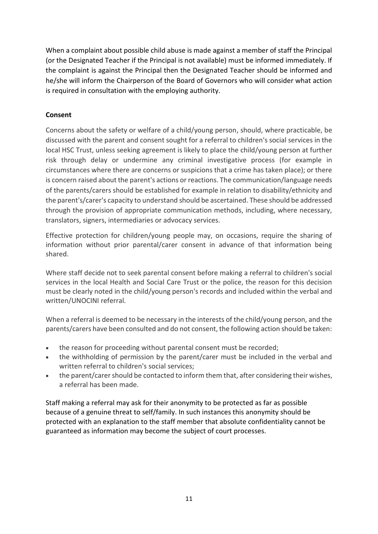When a complaint about possible child abuse is made against a member of staff the Principal (or the Designated Teacher if the Principal is not available) must be informed immediately. If the complaint is against the Principal then the Designated Teacher should be informed and he/she will inform the Chairperson of the Board of Governors who will consider what action is required in consultation with the employing authority.

## **Consent**

Concerns about the safety or welfare of a child/young person, should, where practicable, be discussed with the parent and consent sought for a referral to children's social services in the local HSC Trust, unless seeking agreement is likely to place the child/young person at further risk through delay or undermine any criminal investigative process (for example in circumstances where there are concerns or suspicions that a crime has taken place); or there is concern raised about the parent's actions or reactions. The communication/language needs of the parents/carers should be established for example in relation to disability/ethnicity and the parent's/carer's capacity to understand should be ascertained. These should be addressed through the provision of appropriate communication methods, including, where necessary, translators, signers, intermediaries or advocacy services.

Effective protection for children/young people may, on occasions, require the sharing of information without prior parental/carer consent in advance of that information being shared.

Where staff decide not to seek parental consent before making a referral to children's social services in the local Health and Social Care Trust or the police, the reason for this decision must be clearly noted in the child/young person's records and included within the verbal and written/UNOCINI referral.

When a referral is deemed to be necessary in the interests of the child/young person, and the parents/carers have been consulted and do not consent, the following action should be taken:

- the reason for proceeding without parental consent must be recorded;
- the withholding of permission by the parent/carer must be included in the verbal and written referral to children's social services;
- the parent/carer should be contacted to inform them that, after considering their wishes, a referral has been made.

Staff making a referral may ask for their anonymity to be protected as far as possible because of a genuine threat to self/family. In such instances this anonymity should be protected with an explanation to the staff member that absolute confidentiality cannot be guaranteed as information may become the subject of court processes.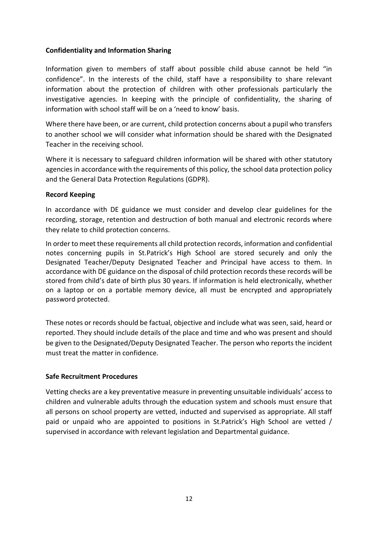#### **Confidentiality and Information Sharing**

Information given to members of staff about possible child abuse cannot be held "in confidence". In the interests of the child, staff have a responsibility to share relevant information about the protection of children with other professionals particularly the investigative agencies. In keeping with the principle of confidentiality, the sharing of information with school staff will be on a 'need to know' basis.

Where there have been, or are current, child protection concerns about a pupil who transfers to another school we will consider what information should be shared with the Designated Teacher in the receiving school.

Where it is necessary to safeguard children information will be shared with other statutory agencies in accordance with the requirements of this policy, the school data protection policy and the General Data Protection Regulations (GDPR).

#### **Record Keeping**

In accordance with DE guidance we must consider and develop clear guidelines for the recording, storage, retention and destruction of both manual and electronic records where they relate to child protection concerns.

In order to meet these requirements all child protection records, information and confidential notes concerning pupils in St.Patrick's High School are stored securely and only the Designated Teacher/Deputy Designated Teacher and Principal have access to them. In accordance with DE guidance on the disposal of child protection records these records will be stored from child's date of birth plus 30 years. If information is held electronically, whether on a laptop or on a portable memory device, all must be encrypted and appropriately password protected.

These notes or records should be factual, objective and include what was seen, said, heard or reported. They should include details of the place and time and who was present and should be given to the Designated/Deputy Designated Teacher. The person who reports the incident must treat the matter in confidence.

## **Safe Recruitment Procedures**

Vetting checks are a key preventative measure in preventing unsuitable individuals' access to children and vulnerable adults through the education system and schools must ensure that all persons on school property are vetted, inducted and supervised as appropriate. All staff paid or unpaid who are appointed to positions in St.Patrick's High School are vetted / supervised in accordance with relevant legislation and Departmental guidance.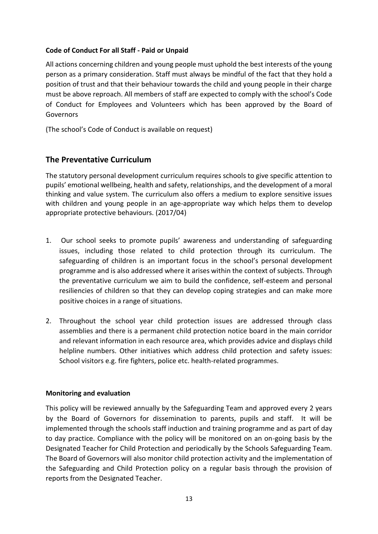## **Code of Conduct For all Staff - Paid or Unpaid**

All actions concerning children and young people must uphold the best interests of the young person as a primary consideration. Staff must always be mindful of the fact that they hold a position of trust and that their behaviour towards the child and young people in their charge must be above reproach. All members of staff are expected to comply with the school's Code of Conduct for Employees and Volunteers which has been approved by the Board of Governors

(The school's Code of Conduct is available on request)

## **The Preventative Curriculum**

The statutory personal development curriculum requires schools to give specific attention to pupils' emotional wellbeing, health and safety, relationships, and the development of a moral thinking and value system. The curriculum also offers a medium to explore sensitive issues with children and young people in an age-appropriate way which helps them to develop appropriate protective behaviours. (2017/04)

- 1. Our school seeks to promote pupils' awareness and understanding of safeguarding issues, including those related to child protection through its curriculum. The safeguarding of children is an important focus in the school's personal development programme and is also addressed where it arises within the context of subjects. Through the preventative curriculum we aim to build the confidence, self-esteem and personal resiliencies of children so that they can develop coping strategies and can make more positive choices in a range of situations.
- 2. Throughout the school year child protection issues are addressed through class assemblies and there is a permanent child protection notice board in the main corridor and relevant information in each resource area, which provides advice and displays child helpline numbers. Other initiatives which address child protection and safety issues: School visitors e.g. fire fighters, police etc. health-related programmes.

#### **Monitoring and evaluation**

This policy will be reviewed annually by the Safeguarding Team and approved every 2 years by the Board of Governors for dissemination to parents, pupils and staff. It will be implemented through the schools staff induction and training programme and as part of day to day practice. Compliance with the policy will be monitored on an on-going basis by the Designated Teacher for Child Protection and periodically by the Schools Safeguarding Team. The Board of Governors will also monitor child protection activity and the implementation of the Safeguarding and Child Protection policy on a regular basis through the provision of reports from the Designated Teacher.